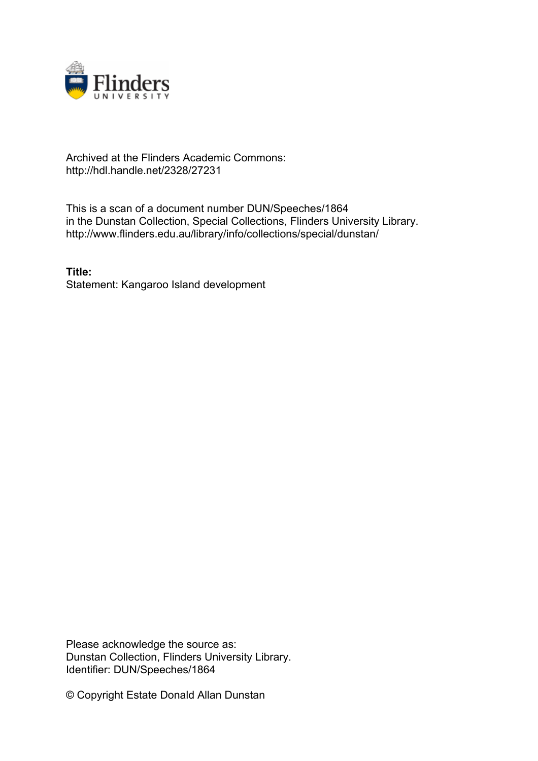

## Archived at the Flinders Academic Commons: http://hdl.handle.net/2328/27231

This is a scan of a document number DUN/Speeches/1864 in the Dunstan Collection, Special Collections, Flinders University Library. http://www.flinders.edu.au/library/info/collections/special/dunstan/

**Title:** Statement: Kangaroo Island development

Please acknowledge the source as: Dunstan Collection, Flinders University Library. Identifier: DUN/Speeches/1864

© Copyright Estate Donald Allan Dunstan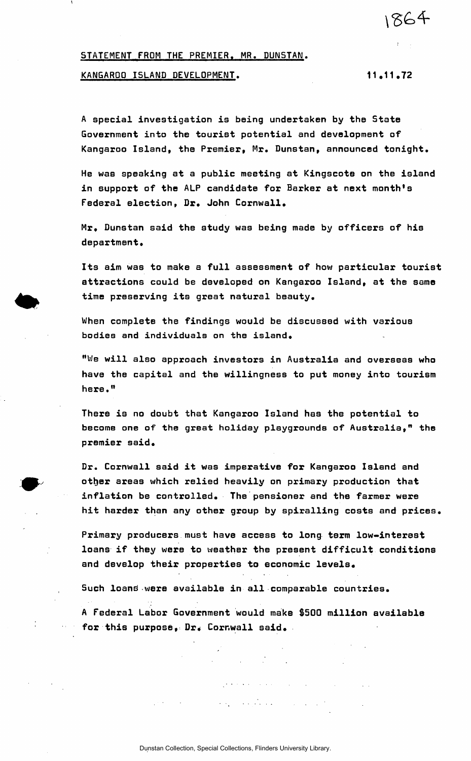STATEMENT FROM THE PREMIER. MR. DUNSTAN.

## KANGAROO ISLAND DEVELOPMENT. 11.11.72

1864

A special investigation is being undertaken by the State Government into the tourist potential and development of Kangaroo Island, the Premier, Mr. Dunstan, announced tonight.

He was speaking at a public meeting at Kingscote on the island in support of the ALP candidate for Barker at next month's Federal election, Dr. John Cornwall.

Mr, Dunstan said the study was being made by officers of his department.

Its aim was to make a full assessment of how particular tourist attractions could be developed on Kangaroo Island, at the same time preserving its great natural beauty.

When complete the findings would be discussed with various bodies and individuals on the island.

"We will also approach investors in Australia and overseas who have the capital and the willingness to put money into tourism here."

There is no doubt that Kangaroo Island has the potential to become one of the great holiday playgrounds of Australia," the premier said.

Dr. Cornwall said it was imperative for Kangaroo Island and other areas which relied heavily on primary production that inflation be controlled. The pensioner and the farmer were hit harder than any other group by spiralling costs and prices.

Primary producers must have access to long term low-interest loans if they were to weather the present difficult conditions and develop their properties to economic levels.

Such loans were available in all comparable countries.

A Federal Labor Government would make \$500 million available for this purpose, Dr. Cornwall said.

 $\label{eq:2.1} \frac{1}{2} \sum_{i=1}^n \frac{1}{2} \sum_{i=1}^n \frac{1}{2} \sum_{i=1}^n \frac{1}{2} \sum_{i=1}^n \frac{1}{2} \sum_{i=1}^n \frac{1}{2} \sum_{i=1}^n \frac{1}{2} \sum_{i=1}^n \frac{1}{2} \sum_{i=1}^n \frac{1}{2} \sum_{i=1}^n \frac{1}{2} \sum_{i=1}^n \frac{1}{2} \sum_{i=1}^n \frac{1}{2} \sum_{i=1}^n \frac{1}{2} \sum_{i=1}^n \frac{$ 

 $\label{eq:2} \mathcal{L}(\mathcal{L}(\mathbf{y}_k)) = \mathcal{L}(\mathbf{y}_k^T \mathbf{y}_k) \mathcal{L}(\mathbf{y}_k) = \mathcal{L}(\mathbf{y}_k) \mathcal{L}(\mathbf{y}_k)$ 

 $\mathcal{L}(\mathcal{A})$  is a set of the set of the set of the set of the set of the set of the  $\mathcal{L}(\mathcal{A})$